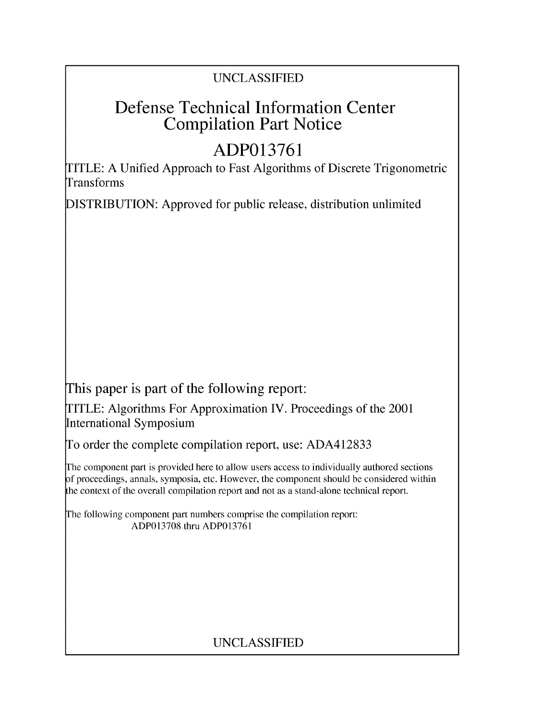## UNCLASSIFIED

# Defense Technical Information Center Compilation Part Notice

# **ADP013761**

TITLE: A Unified Approach to Fast Algorithms of Discrete Trigonometric Transforms

DISTRIBUTION: Approved for public release, distribution unlimited

This paper is part of the following report:

TITLE: Algorithms For Approximation IV. Proceedings of the 2001 International Symposium

To order the complete compilation report, use: ADA412833

The component part is provided here to allow users access to individually authored sections f proceedings, annals, symposia, etc. However, the component should be considered within the context of the overall compilation report and not as a stand-alone technical report.

The following component part numbers comprise the compilation report: ADP013708 thru ADP013761

## UNCLASSIFIED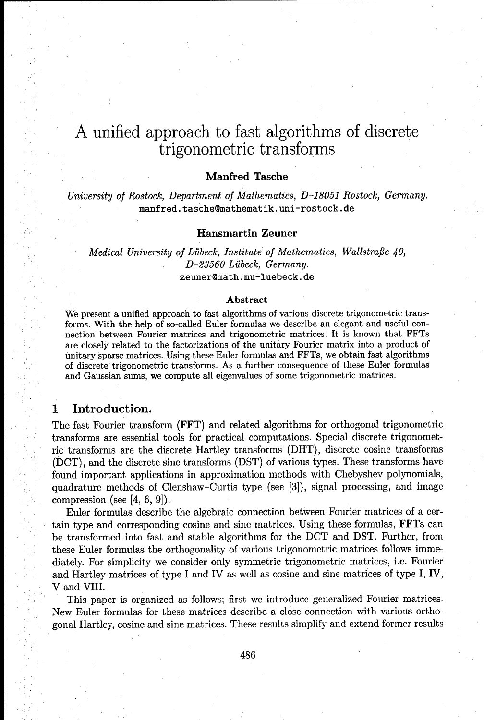## A unified approach to fast algorithms of discrete trigonometric transforms

## Manfred Tasche

*University of Rostock, Department of Mathematics, D-18051 Rostock,* Germany. manfred.tasche@mathematik.uni-rostock.de

#### Hansmartin Zeuner

### *Medical University of Liibeck, Institute of Mathematics, Wallstrafle 40, D-23560 Liibeck, Germany.* zeuner@math.mu-luebeck.de

#### Abstract

We present a unified approach to fast algorithms of various discrete trigonometric transforms. With the help of so-called Euler formulas we describe an elegant and useful connection between Fourier matrices and trigonometric matrices. It is known that FFTs are closely related to the factorizations of the unitary Fourier matrix into a product of unitary sparse matrices. Using these Euler formulas and FFTs, we obtain fast algorithms of discrete trigonometric transforms. As a further consequence of these Euler formulas and Gaussian sums, we compute all eigenvalues of some trigonometric matrices.

### **1** Introduction.

The fast Fourier transform (FFT) and related algorithms for orthogonal trigonometric transforms are essential tools for practical computations. Special discrete trigonometric transforms are the discrete Hartley transforms (DHT), discrete cosine transforms (DCT), and the discrete sine transforms (DST) of various types. These transforms have found important applications in approximation methods with Chebyshev polynomials, quadrature methods of Clenshaw-Curtis type (see  $[3]$ ), signal processing, and image compression (see [4, 6, 9]).

Euler formulas describe the algebraic connection between Fourier matrices of a certain type and corresponding cosine and sine matrices. Using these formulas, FFTs can be transformed into fast and stable algorithms for the **DCT** and DST. Further, from these Euler formulas the orthogonality of various trigonometric matrices follows immediately. For simplicity we consider only symmetric trigonometric matrices, i.e. Fourier and Hartley matrices of type I and IV as well as cosine and sine matrices of type I, IV, V and VIII.

This paper is organized as follows; first we introduce generalized Fourier matrices. New Euler formulas for these matrices describe a close connection with various orthogonal Hartley, cosine and sine matrices. These results simplify and extend former results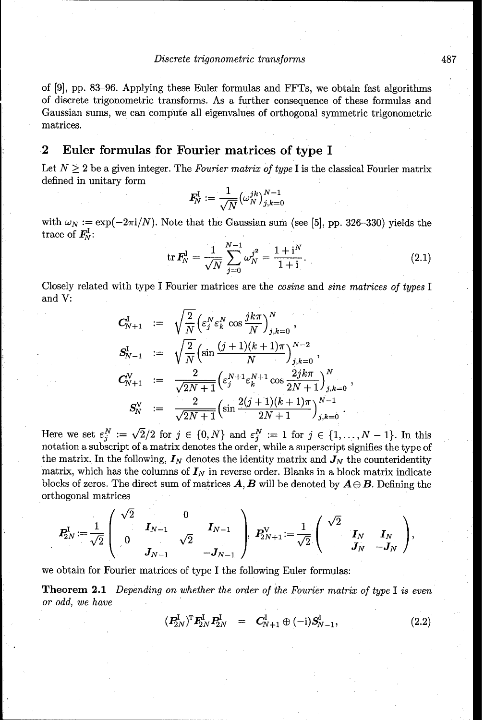of [9], pp. 83-96. Applying these Euler formulas and FFTs, we obtain fast algorithms of discrete trigonometric transforms. As a further consequence of these formulas and Gaussian sums, we can compute all eigenvalues of orthogonal symmetric trigonometric matrices.

## 2 Euler formulas for Fourier matrices of type I

Let  $N \geq 2$  be a given integer. The *Fourier matrix of type* I is the classical Fourier matrix defined in unitary form L **1** *3- kN--1*

$$
\textbf{\textit{F}}_{\!N}^{\rm I}:=\frac{1}{\sqrt{N}}\big(\omega_{N}^{jk}\big)_{j,k=0}^{N-1}
$$

with  $\omega_N := \exp(-2\pi i/N)$ . Note that the Gaussian sum (see [5], pp. 326-330) yields the trace of  $\mathbf{F}_N^1$ :

$$
\operatorname{tr} \mathbf{F}_N^{\mathrm{I}} = \frac{1}{\sqrt{N}} \sum_{j=0}^{N-1} \omega_N^{j^2} = \frac{1+i^N}{1+i}.
$$
 (2.1)

Closely related with type I Fourier matrices are the cosine and sine matrices *of types* I and V:

$$
C_{N+1}^{I} := \sqrt{\frac{2}{N}} \left( \varepsilon_{j}^{N} \varepsilon_{k}^{N} \cos \frac{jk\pi}{N} \right)_{j,k=0}^{N},
$$
  
\n
$$
S_{N-1}^{I} := \sqrt{\frac{2}{N}} \left( \sin \frac{(j+1)(k+1)\pi}{N} \right)_{j,k=0}^{N-2},
$$
  
\n
$$
C_{N+1}^{V} := \frac{2}{\sqrt{2N+1}} \left( \varepsilon_{j}^{N+1} \varepsilon_{k}^{N+1} \cos \frac{2jk\pi}{2N+1} \right)_{j,k=0}^{N},
$$
  
\n
$$
S_{N}^{V} := \frac{2}{\sqrt{2N+1}} \left( \sin \frac{2(j+1)(k+1)\pi}{2N+1} \right)_{j,k=0}^{N-1}.
$$

Here we set  $\varepsilon_i^N := \sqrt{2}/2$  for  $j \in \{0, N\}$  and  $\varepsilon_i^N := 1$  for  $j \in \{1, \ldots, N-1\}$ . In this notation a subscript of a matrix denotes the order, while a superscript signifies the type of the matrix. In the following,  $I_N$  denotes the identity matrix and  $J_N$  the counteridentity matrix, which has the columns of  $I_N$  in reverse order. Blanks in a block matrix indicate blocks of zeros. The direct sum of matrices  $\boldsymbol{A}, \boldsymbol{B}$  will be denoted by  $\boldsymbol{A} \oplus \boldsymbol{B}$ . Defining the orthogonal matrices

$$
\pmb{P_{2N}^{\text{I}}}\!:=\!\frac{1}{\sqrt{2}}\left(\begin{array}{ccc} \sqrt{2} & & 0 & \\ & \pmb{I}_{N-1} & \\ 0 & & \sqrt{2} & \\ & \pmb{J}_{N-1} & & -\pmb{J}_{N-1} \end{array}\right)\!\!,\ \ \pmb{P_{2N+1}^{\text{V}}}\!:=\!\frac{1}{\sqrt{2}}\left(\begin{array}{ccc} \sqrt{2} & & \\ & \pmb{I}_{N} & \pmb{I}_{N} \\ & \pmb{J}_{N} & -\pmb{J}_{N} \end{array}\right)\!,
$$

we obtain for Fourier matrices of type I the following Euler formulas:

Theorem 2.1 Depending on whether *the order of the* Fourier matrix *of type* I *is* even *or odd,* we have

$$
(P_{2N}^{\rm I})^{\rm T} F_{2N}^{\rm I} P_{2N}^{\rm I} = C_{N+1}^{\rm I} \oplus (-{\rm i}) S_{N-1}^{\rm I}, \qquad (2.2)
$$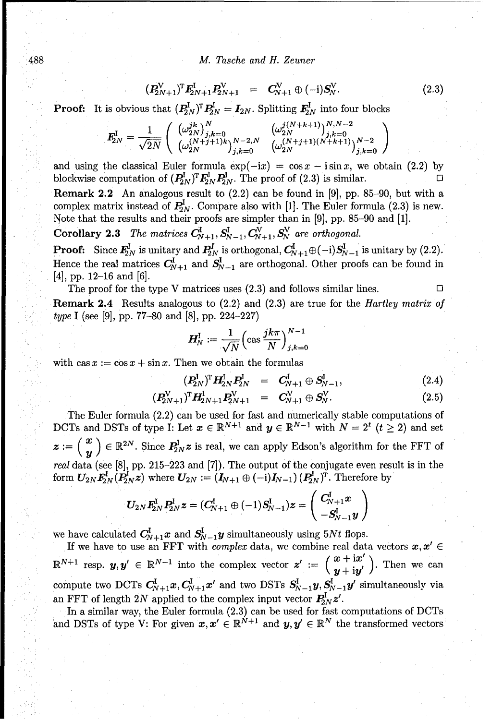#### 488 *M. Tasche and* H. Zeuner

$$
(\boldsymbol{P}_{2N+1}^{V})^{\mathrm{T}} \boldsymbol{F}_{2N+1}^{I} \boldsymbol{P}_{2N+1}^{V} = \boldsymbol{C}_{N+1}^{V} \oplus (-i) \boldsymbol{S}_{N}^{V}. \qquad (2.3)
$$

**Proof:** It is obvious that  $(P_{2N}^{\mathrm{I}})^{\mathrm{T}} P_{2N}^{\mathrm{I}} = I_{2N}$ . Splitting  $F_{2N}^{\mathrm{I}}$  into four blocks

$$
\pmb{F}_{2N}^{\text{I}} = \frac{1}{\sqrt{2N}} \left( \begin{array}{cc} (\omega_{2N}^{jk})^N & (\omega_{2N}^{j(N+k+1)})^{N,N-2} \\ (\omega_{2N}^{(N+j+1)k})_{j,k=0}^{N-2,N} & (\omega_{2N}^{(N+j+1)(N+k+1)})_{j,k=0}^{N-2} \\ \end{array} \right)
$$

and using the classical Euler formula  $\exp(-ix) = \cos x - i \sin x$ , we obtain (2.2) by blockwise computation of  $(P_{2N}^{\mathbf{I}})^{\mathbf{T}} \mathbf{F}_{2N}^{\mathbf{I}} \mathbf{P}_{2N}^{\mathbf{I}}$ . The proof of (2.3) is similar. Remark 2.2 An analogous result to (2.2) can be found in [9], pp. 85-90, but with a complex matrix instead of  $P_{2N}^{\text{I}}$ . Compare also with [1]. The Euler formula (2.3) is new.

Note that the results and their proofs are simpler than in [9], pp. **85-90** and [1].

**Corollary 2.3** The matrices  $C_{N+1}^{\mathrm{I}}, S_{N-1}^{\mathrm{I}}, C_{N+1}^{\mathrm{V}}, S_N^{\mathrm{V}}$  are orthogonal.

**Proof:** Since  $\mathbf{F}_{2N}^{\mathrm{I}}$  is unitary and  $\mathbf{P}_{2N}^{\mathrm{I}}$  is orthogonal,  $\mathbf{C}_{N+1}^{\mathrm{I}} \oplus (-i) \mathbf{S}_{N-1}^{\mathrm{I}}$  is unitary by (2.2). Hence the real matrices  $C_{N+1}^l$  and  $S_{N-1}^l$  are orthogonal. Other proofs can be found in  $[4]$ , pp. 12–16 and  $[6]$ .

The proof for the type V matrices uses  $(2.3)$  and follows similar lines.  $\Box$ Remark 2.4 Results analogous to (2.2) and (2.3) are true for the Hartley matrix *of type* I (see [9], pp. 77-80 and [8], pp. 224-227)

$$
\boldsymbol{H}_N^\mathrm{I} := \frac{1}{\sqrt{N}} \Bigl( \cos \frac{ jk \pi }{N} \Bigr)_{j,k=0}^{N-1}
$$

with  $\cos x := \cos x + \sin x$ . Then we obtain the formulas

$$
(\boldsymbol{P}_{2N}^{\mathrm{I}})^{\mathrm{T}} \boldsymbol{H}_{2N}^{\mathrm{I}} \boldsymbol{P}_{2N}^{\mathrm{I}} = \boldsymbol{C}_{N+1}^{\mathrm{I}} \oplus \boldsymbol{S}_{N-1}^{\mathrm{I}}, \qquad (2.4)
$$

$$
(\boldsymbol{P}_{2N+1}^{V})^{\mathrm{T}} \boldsymbol{H}_{2N+1}^{I} \boldsymbol{P}_{2N+1}^{V} = \boldsymbol{C}_{N+1}^{V} \oplus \boldsymbol{S}_{N}^{V}.
$$
 (2.5)

The Euler formula (2.2) can be used for fast and numerically stable computations of DCTs and DSTs of type I: Let  $x \in \mathbb{R}^{N+1}$  and  $y \in \mathbb{R}^{N-1}$  with  $N = 2^t$   $(t \ge 2)$  and set  $z := \begin{pmatrix} x \\ y \end{pmatrix} \in \mathbb{R}^{2N}$ . Since  $P_{2N}^{\mathrm{I}} z$  is real, we can apply Edson's algorithm for the FFT of real data (see [8], pp. 215-223 and [7]). The output of the conjugate even result is in the form  $U_{2N}F_{2N}^{\text{I}}(P_{2N}^{\text{I}}z)$  where  $U_{2N} := (I_{N+1} \oplus (-i)I_{N-1})(P_{2N}^{\text{I}})^{\text{T}}$ . Therefore by

$$
\bm{U}_{2N}\bm{F}_{2N}^{\rm I}\bm{P}_{2N}^{\rm I}\bm{z}=(\bm{C}_{N+1}^{\rm I}\oplus(-1)\bm{S}_{N-1}^{\rm I})\bm{z}=\left(\begin{array}{c}\bm{C}_{N+1}^{\rm I}\bm{x}\\\ -\bm{S}_{N-1}^{\rm I}\bm{y}\end{array}\right)
$$

we have calculated  $C_{N+1}^{\text{I}}x$  and  $S_{N-1}^{\text{I}}y$  simultaneously using 5Nt flops.

If we have to use an FFT with *complex* data, we combine real data vectors  $x, x' \in$  $\mathbb{R}^{N+1}$  resp.  $y, y' \in \mathbb{R}^{N-1}$  into the complex vector  $z' := \begin{pmatrix} x + ix' \\ y + iy' \end{pmatrix}$ . Then we can compute two DCTs  $C_{N+1}^{\text{I}}x, C_{N+1}^{\text{I}}x'$  and two DSTs  $S_{N-1}^{\text{I}}y, S_{N-1}^{\text{I}}y'$  simultaneously via an FFT of length 2N applied to the complex input vector  $P_{2N}^1 z'$ .

In a similar way, the Euler formula  $(2.3)$  can be used for fast computations of DCTs and DSTs of type V: For given  $x, x' \in \mathbb{R}^{N+1}$  and  $y, y' \in \mathbb{R}^N$  the transformed vectors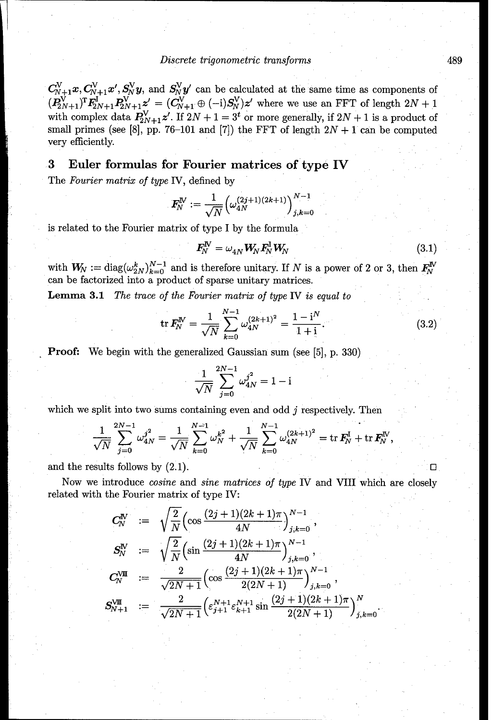$C_{N+1}^{\vee}x, C_{N+1}^{\vee}x', S_N^{\vee}y$ , and  $S_N^{\vee}y'$  can be calculated at the same time as components of  $(P_{2N+1}^{\mathsf{V}})^{\mathrm{T}}F_{2N+1}^{\mathsf{I}}P_{2N+1}^{\mathsf{V}} z' = (C_{N+1}^{\mathsf{V}} \oplus (-\mathrm{i})S_{N}^{\mathsf{V}})z'$  where we use an FFT of length  $2N+1$ with complex data  $P_{2N+1}^V z'$ . If  $2N+1=3^t$  or more generally, if  $2N+1$  is a product of small primes (see [8], pp. 76-101 and [7]) the FFT of length  $2N + 1$  can be computed very efficiently.

## **3** Euler formulas for Fourier matrices of type IV

The Fourier matrix of type IV, defined by

$$
F_N^N:=\frac{1}{\sqrt{N}}\Big(\omega_{4N}^{(2j+1)(2k+1)}\Big)_{j,k=0}^{N-1}
$$

is related to the Fourier matrix of type I by the formula

$$
\mathbf{F}_N^{\mathbf{N}} = \omega_{4N} \mathbf{W}_N \mathbf{F}_N^{\mathbf{I}} \mathbf{W}_N \tag{3.1}
$$

with  $W_N := \text{diag}(\omega_{2N}^k)_{k=0}^{N-1}$  and is therefore unitary. If *N* is a power of 2 or 3, then  $F_N^N$ can be factorized into a product of sparse unitary matrices.

Lemma **3.1** *The trace of the* Fourier matrix *of* type IV *is equal* to

$$
\operatorname{tr} \mathbf{F}_N^{\mathrm{IV}} = \frac{1}{\sqrt{N}} \sum_{k=0}^{N-1} \omega_{4N}^{(2k+1)^2} = \frac{1 - \mathrm{i}^N}{1 + \mathrm{i}}.
$$
 (3.2)

Proof: We begin with the generalized Gaussian sum (see [5], p. 330)

$$
\frac{1}{\sqrt{N}}\sum_{j=0}^{2N-1}\omega_{4N}^{j^2}=1-\mathrm{i}
$$

which we split into two sums containing even and odd j respectively. Then

$$
\frac{1}{\sqrt{N}} \sum_{j=0}^{2N-1} \omega_{4N}^{j^2} = \frac{1}{\sqrt{N}} \sum_{k=0}^{N-1} \omega_N^{k^2} + \frac{1}{\sqrt{N}} \sum_{k=0}^{N-1} \omega_{4N}^{(2k+1)^2} = \text{tr } \mathbf{F}_N^{\mathbf{I}} + \text{tr } \mathbf{F}_N^{\mathbf{IV}}
$$

and the results follows by  $(2.1)$ .

Now we introduce cosine and sine matrices *of type* IV and VIII which are closely related with the Fourier matrix of type IV:

$$
C_N^N \quad := \quad \sqrt{\frac{2}{N}} \Big( \cos \frac{(2j+1)(2k+1)\pi}{4N} \Big)_{j,k=0}^{N-1} \, ,
$$
\n
$$
S_N^N \quad := \quad \sqrt{\frac{2}{N}} \Big( \sin \frac{(2j+1)(2k+1)\pi}{4N} \Big)_{j,k=0}^{N-1} \, ,
$$
\n
$$
C_N^{\text{VIII}} \quad := \quad \frac{2}{\sqrt{2N+1}} \Big( \cos \frac{(2j+1)(2k+1)\pi}{2(2N+1)} \Big)_{j,k=0}^{N-1} \, ,
$$
\n
$$
S_{N+1}^{\text{VIII}} \quad := \quad \frac{2}{\sqrt{2N+1}} \Big( \varepsilon_{j+1}^{N+1} \varepsilon_{k+1}^{N+1} \sin \frac{(2j+1)(2k+1)\pi}{2(2N+1)} \Big)_{j,k=0}^N
$$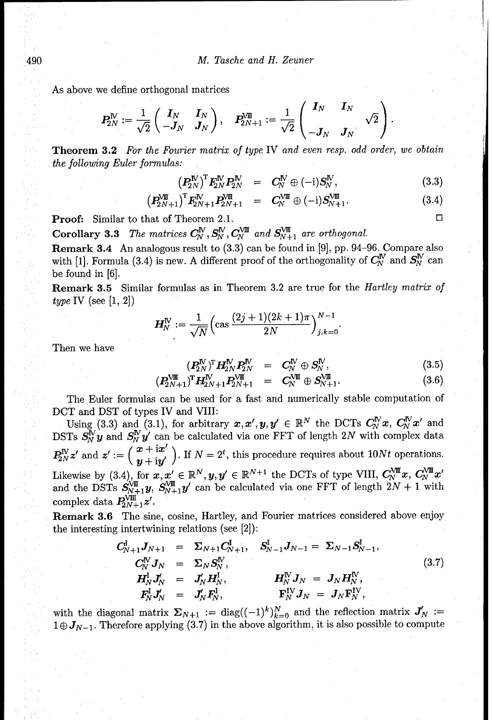As above we define orthogonal matrices

$$
\boldsymbol{P_{2N}^{\text{IV}}} := \frac{1}{\sqrt{2}}\left(\begin{array}{cc} \boldsymbol{I}_N & \boldsymbol{I}_N \\ -\boldsymbol{J}_N & \boldsymbol{J}_N \end{array}\right), \quad \boldsymbol{P_{2N+1}^{\text{VIII}}} := \frac{1}{\sqrt{2}}\left(\begin{array}{cc} \boldsymbol{I}_N & \boldsymbol{I}_N \\ -\boldsymbol{J}_N & \boldsymbol{J}_N \end{array}\right).
$$

Theorem **3.2** *For the* Fourier matrix *of type* IV and even *resp. odd order, we* obtain *the following* Euler formulas:

$$
\left(P_{2N}^{\text{IV}}\right)^{\text{T}} F_{2N}^{\text{IV}} P_{2N}^{\text{IV}} = C_N^{\text{IV}} \oplus (-\mathrm{i}) S_N^{\text{IV}}, \tag{3.3}
$$

$$
\left(P_{2N+1}^{\text{N}}\right)^{\text{T}} F_{2N+1}^{\text{N}} P_{2N+1}^{\text{N}} = C_{N}^{\text{N}} \oplus (-\mathrm{i}) S_{N+1}^{\text{N}}. \tag{3.4}
$$

**Proof:** Similar to that of Theorem 2.1.  $\Box$ 

**Corollary 3.3** The matrices  $C_N^N$ ,  $S_N^N$ ,  $C_N^{V\text{III}}$  and  $S_{N+1}^{V\text{III}}$  are orthogonal.

Remark 3.4 An analogous result to (3.3) can be found in [9], pp. 94-96. Compare also with [1]. Formula (3.4) is new. A different proof of the orthogonality of  $C_N^N$  and  $S_N^N$  can be found in [6].

Remark **3.5** Similar formulas as in Theorem 3.2 are true for the Hartley matrix *of* type IV (see  $[1, 2]$ )

$$
H_N^N:=\frac{1}{\sqrt{N}}\Bigl(\cos\frac{(2j+1)(2k+1)\pi}{2N}\Bigr)^{N-1}_{j,k=0}.
$$

Then we have

$$
(\boldsymbol{P}_{2N}^{\mathbf{N}})^{\mathrm{T}} \boldsymbol{H}_{2N}^{\mathbf{N}} \boldsymbol{P}_{2N}^{\mathbf{N}} = \boldsymbol{C}_{\!N}^{\mathbf{N}} \oplus \boldsymbol{S}_{\!N}^{\mathbf{N}}, \qquad (3.5)
$$

$$
(P_{2N+1}^{\text{VIII}})^{\text{T}} \mathbf{H}_{2N+1}^{\text{IV}} P_{2N+1}^{\text{VIII}} = C_{N}^{\text{VIII}} \oplus S_{N+1}^{\text{VIII}}.
$$
 (3.6)

The Euler formulas can be used for a fast and numerically stable computation of DCT and DST of types IV and VIII:

Using (3.3) and (3.1), for arbitrary  $x, x', y, y' \in \mathbb{R}^N$  the DCTs  $C_N^N x, C_N^N x'$  and DSTs  $S_N^N y$  and  $S_N^N y'$  can be calculated via one FFT of length 2N with complex data  $P_{2N}^{\text{IV}}z'$  and  $z' := \left(\frac{x + ix'}{y + iy'}\right)$ . If  $N = 2^t$ , this procedure requires about 10Nt operations. Likewise by (3.4), for  $x, x' \in \mathbb{R}^N, y, y' \in \mathbb{R}^{N+1}$  the DCTs of type VIII,  $C_N^{\text{VIII}}x, C_N^{\text{VIII}}x$ and the DSTs  $S_{N+1}^{V\text{III}}y$ ,  $S_{N+1}^{V\text{III}}y'$  can be calculated via one FFT of length  $2N+1$  with complex data  $P_{2N+1}^{\text{VIII}} z'$ .

Remark **3.6** The sine, cosine, Hartley, and Fourier matrices considered above enjoy the interesting intertwining relations (see [2]):

$$
C_{N+1}^{I} J_{N+1} = \Sigma_{N+1} C_{N+1}^{I}, \quad S_{N-1}^{I} J_{N-1} = \Sigma_{N-1} S_{N-1}^{I},
$$
  
\n
$$
C_{N}^{V} J_{N} = \Sigma_{N} S_{N}^{V},
$$
  
\n
$$
H_{N}^{I} J_{N}' = J_{N}' H_{N}^{I},
$$
  
\n
$$
F_{N}^{I} J_{N}' = J_{N}' F_{N}^{I},
$$
  
\n
$$
F_{N}^{I} J_{N} = J_{N} F_{N}^{V},
$$
  
\n
$$
(3.7)
$$

with the diagonal matrix  $\Sigma_{N+1} := \text{diag}((-1)^k)_{k=0}^N$  and the reflection matrix  $J'_N :=$  $1 \oplus J_{N-1}$ . Therefore applying (3.7) in the above algorithm, it is also possible to compute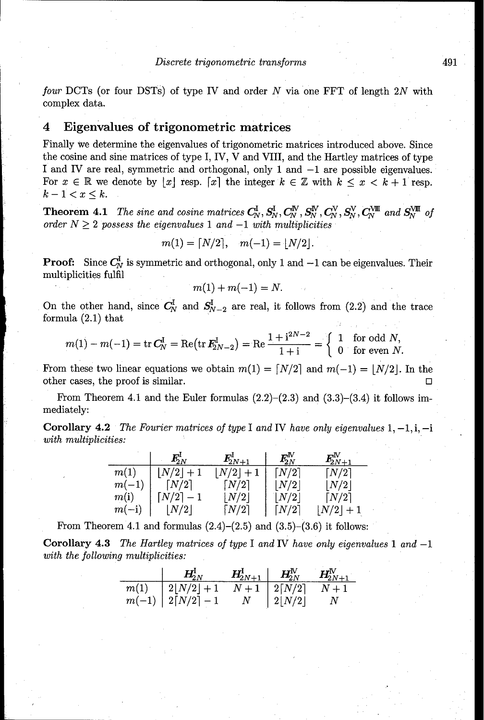four DCTs (or four DSTs) of type IV and order  $N$  via one FFT of length 2N with complex data.

## 4 Eigenvalues of trigonometric matrices

Finally we determine the eigenvalues of trigonometric matrices introduced above. Since the cosine and sine matrices of type I, IV, V and VIII, and the Hartley matrices of type I and IV are real, symmetric and orthogonal, only 1 and  $-1$  are possible eigenvalues. For  $x \in \mathbb{R}$  we denote by  $|x|$  resp. [x] the integer  $k \in \mathbb{Z}$  with  $k \leq x < k+1$  resp.  $k-1 < x \leq k$ .

**Theorem 4.1** *The sine and cosine matrices*  $C_N^{\mathbf{I}}, S_N^{\mathbf{I}}, C_N^{\mathbf{V}}, S_N^{\mathbf{N}}, C_N^{\mathbf{V}}, S_N^{\mathbf{V}}, C_N^{\mathbf{V}}$  and  $S_N^{\mathbf{V}}$  of *order*  $N \geq 2$  *possess the eigenvalues* 1 and  $-1$  with multiplicities

$$
m(1) = \lfloor N/2 \rfloor, \quad m(-1) = \lfloor N/2 \rfloor.
$$

**Proof:** Since  $C_N^I$  is symmetric and orthogonal, only 1 and  $-1$  can be eigenvalues. Their multiplicities fulfil

$$
m(1) + m(-1) = N.
$$

On the other hand, since  $C_N^I$  and  $S_{N-2}^I$  are real, it follows from (2.2) and the trace formula (2.1) that

$$
m(1) - m(-1) = \text{tr } C_N^1 = \text{Re}(\text{tr } F_{2N-2}^1) = \text{Re } \frac{1 + i^{2N-2}}{1 + i} = \begin{cases} 1 & \text{for odd } N, \\ 0 & \text{for even } N. \end{cases}
$$

From these two linear equations we obtain  $m(1) = \lfloor N/2 \rfloor$  and  $m(-1) = \lfloor N/2 \rfloor$ . In the other cases, the proof is similar. **01**

From Theorem 4.1 and the Euler formulas  $(2.2)$ – $(2.3)$  and  $(3.3)$ – $(3.4)$  it follows immediately:

Corollary 4.2 The Fourier matrices *of* type I and IV have only eigenvalues 1, -1, i, -i with multiplicities:

|         | $I^{\rm r}_{2N}$    | $\textbf{\emph{F}}_{2N+1}^{\textbf{\emph{I}}}$ | $\textbf{\emph{F}}_{2N}^{\rm I\!N}$ | $\textbf{\emph{F}}_{2N+1}^{\mathrm{IV}}$ |
|---------|---------------------|------------------------------------------------|-------------------------------------|------------------------------------------|
| m(1)    | $N/2$   + 1         | N/2                                            | $\lceil N/2 \rceil$                 | $\lceil N/2 \rceil$                      |
| $m(-1)$ | $\lceil N/2 \rceil$ | $\lceil N/2 \rceil$                            | $\left\lfloor N/2 \right\rfloor$    | N/2                                      |
| m(i)    | N/2                 | $\lfloor N/2 \rfloor$                          | $\lfloor N/2 \rfloor$               | $\lceil N/2 \rceil$                      |
| $m(-i)$ | N/2                 | $\lceil N/2 \rceil$                            | $\lceil N/2 \rceil$                 | $\lfloor N/2 \rfloor$                    |

From Theorem 4.1 and formulas  $(2.4)$ – $(2.5)$  and  $(3.5)$ – $(3.6)$  it follows:

Corollary 4.3 *The* Hartley matrices *of* type I and IV have only eigenvalues 1 and -1 *with the following* multiplicities:

|      | $H^1_{2N}$           | $H^1_{2N+1}$ | $\boldsymbol{H}^{\text{IV}}_{\!2N}$ | $\textbf{\textit{H}}_{2N+1}^{\rm I\!V}$ |
|------|----------------------|--------------|-------------------------------------|-----------------------------------------|
| m(1) | $2 N/2 +1$           | $N+1$        | $\mid 2\lceil N/2 \rceil$           | $N+1$                                   |
|      | $m(-1)$   2[N/2] - 1 | N            | 2 N/2                               | $\mathcal{N}$                           |